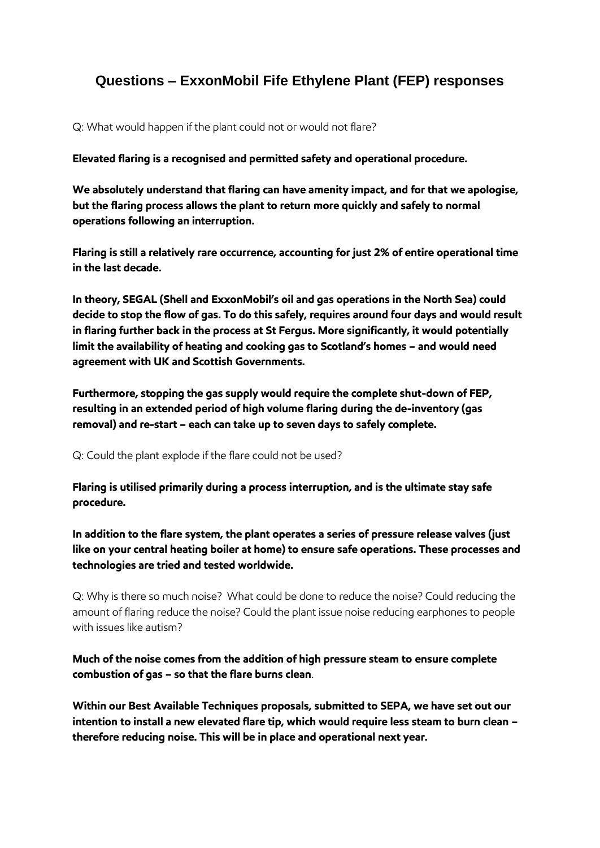## **Questions – ExxonMobil Fife Ethylene Plant (FEP) responses**

Q: What would happen if the plant could not or would not flare?

**Elevated flaring is a recognised and permitted safety and operational procedure.**

**We absolutely understand that flaring can have amenity impact, and for that we apologise, but the flaring process allows the plant to return more quickly and safely to normal operations following an interruption.** 

**Flaring is still a relatively rare occurrence, accounting for just 2% of entire operational time in the last decade.** 

**In theory, SEGAL (Shell and ExxonMobil's oil and gas operations in the North Sea) could decide to stop the flow of gas. To do this safely, requires around four days and would result in flaring further back in the process at St Fergus. More significantly, it would potentially limit the availability of heating and cooking gas to Scotland's homes – and would need agreement with UK and Scottish Governments.**

**Furthermore, stopping the gas supply would require the complete shut-down of FEP, resulting in an extended period of high volume flaring during the de-inventory (gas removal) and re-start – each can take up to seven days to safely complete.** 

Q: Could the plant explode if the flare could not be used?

**Flaring is utilised primarily during a process interruption, and is the ultimate stay safe procedure.** 

**In addition to the flare system, the plant operates a series of pressure release valves (just like on your central heating boiler at home) to ensure safe operations. These processes and technologies are tried and tested worldwide.** 

Q: Why is there so much noise? What could be done to reduce the noise? Could reducing the amount of flaring reduce the noise? Could the plant issue noise reducing earphones to people with issues like autism?

**Much of the noise comes from the addition of high pressure steam to ensure complete combustion of gas – so that the flare burns clean**.

**Within our Best Available Techniques proposals, submitted to SEPA, we have set out our intention to install a new elevated flare tip, which would require less steam to burn clean – therefore reducing noise. This will be in place and operational next year.**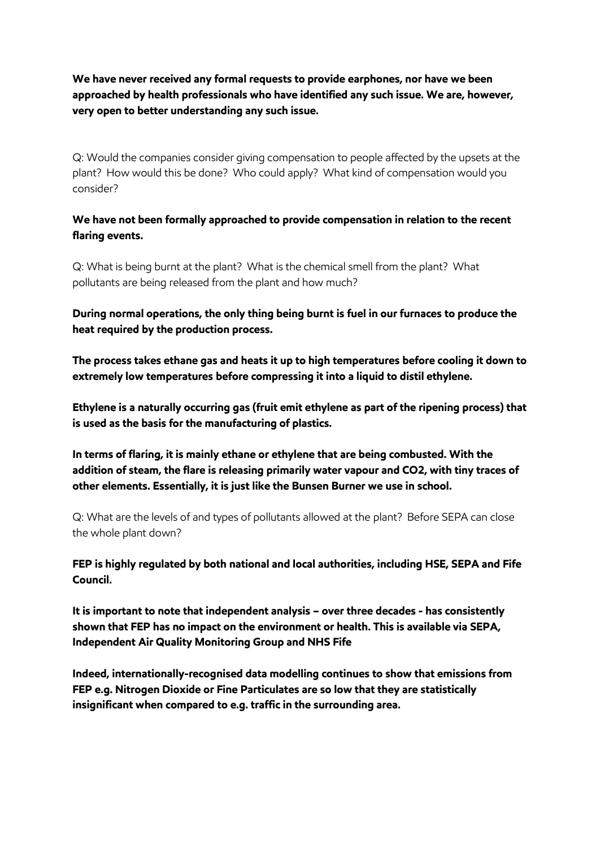**We have never received any formal requests to provide earphones, nor have we been approached by health professionals who have identified any such issue. We are, however, very open to better understanding any such issue.** 

Q: Would the companies consider giving compensation to people affected by the upsets at the plant? How would this be done? Who could apply? What kind of compensation would you consider?

**We have not been formally approached to provide compensation in relation to the recent flaring events.** 

Q: What is being burnt at the plant? What is the chemical smell from the plant? What pollutants are being released from the plant and how much?

**During normal operations, the only thing being burnt is fuel in our furnaces to produce the heat required by the production process.**

**The process takes ethane gas and heats it up to high temperatures before cooling it down to extremely low temperatures before compressing it into a liquid to distil ethylene.** 

**Ethylene is a naturally occurring gas (fruit emit ethylene as part of the ripening process) that is used as the basis for the manufacturing of plastics.**

**In terms of flaring, it is mainly ethane or ethylene that are being combusted. With the addition of steam, the flare is releasing primarily water vapour and CO2, with tiny traces of other elements. Essentially, it is just like the Bunsen Burner we use in school.** 

Q: What are the levels of and types of pollutants allowed at the plant? Before SEPA can close the whole plant down?

**FEP is highly regulated by both national and local authorities, including HSE, SEPA and Fife Council.** 

**It is important to note that independent analysis – over three decades - has consistently shown that FEP has no impact on the environment or health. This is available via SEPA, Independent Air Quality Monitoring Group and NHS Fife** 

**Indeed, internationally-recognised data modelling continues to show that emissions from FEP e.g. Nitrogen Dioxide or Fine Particulates are so low that they are statistically insignificant when compared to e.g. traffic in the surrounding area.**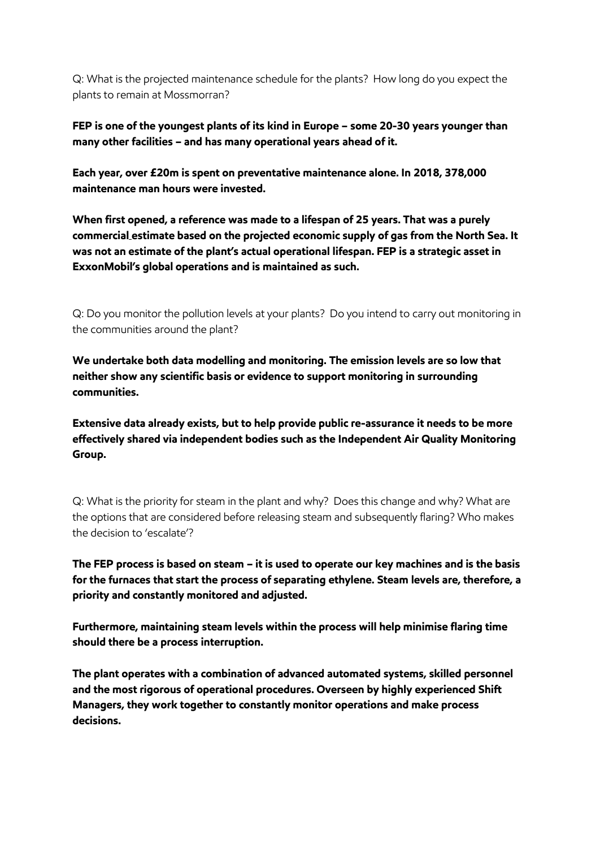Q: What is the projected maintenance schedule for the plants? How long do you expect the plants to remain at Mossmorran?

## **FEP is one of the youngest plants of its kind in Europe – some 20-30 years younger than many other facilities – and has many operational years ahead of it.**

**Each year, over £20m is spent on preventative maintenance alone. In 2018, 378,000 maintenance man hours were invested.**

**When first opened, a reference was made to a lifespan of 25 years. That was a purely commercial estimate based on the projected economic supply of gas from the North Sea. It was not an estimate of the plant's actual operational lifespan. FEP is a strategic asset in ExxonMobil's global operations and is maintained as such.** 

Q: Do you monitor the pollution levels at your plants? Do you intend to carry out monitoring in the communities around the plant?

**We undertake both data modelling and monitoring. The emission levels are so low that neither show any scientific basis or evidence to support monitoring in surrounding communities.**

**Extensive data already exists, but to help provide public re-assurance it needs to be more effectively shared via independent bodies such as the Independent Air Quality Monitoring Group.** 

Q: What is the priority for steam in the plant and why? Does this change and why? What are the options that are considered before releasing steam and subsequently flaring? Who makes the decision to 'escalate'?

**The FEP process is based on steam – it is used to operate our key machines and is the basis for the furnaces that start the process of separating ethylene. Steam levels are, therefore, a priority and constantly monitored and adjusted.**

**Furthermore, maintaining steam levels within the process will help minimise flaring time should there be a process interruption.** 

**The plant operates with a combination of advanced automated systems, skilled personnel and the most rigorous of operational procedures. Overseen by highly experienced Shift Managers, they work together to constantly monitor operations and make process decisions.**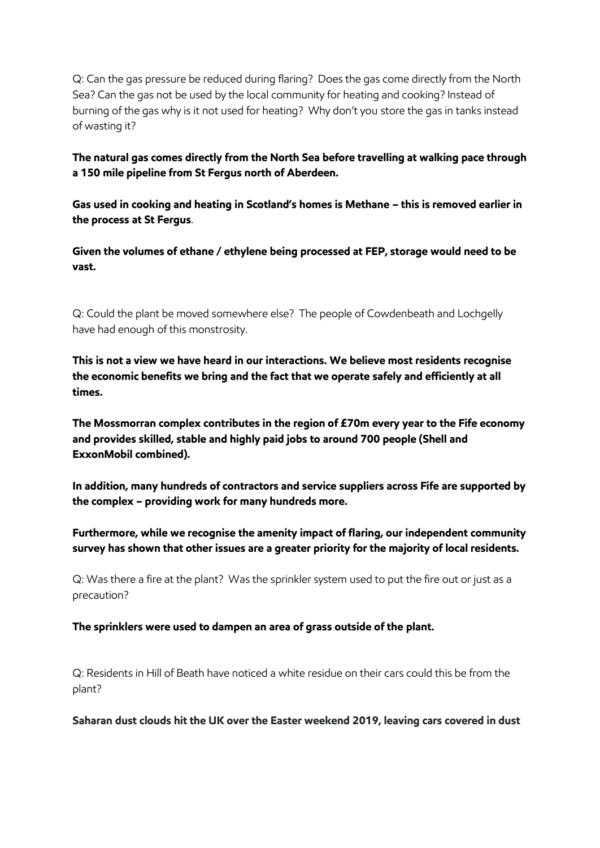Q: Can the gas pressure be reduced during flaring? Does the gas come directly from the North Sea? Can the gas not be used by the local community for heating and cooking? Instead of burning of the gas why is it not used for heating? Why don't you store the gas in tanks instead of wasting it?

**The natural gas comes directly from the North Sea before travelling at walking pace through a 150 mile pipeline from St Fergus north of Aberdeen.**

**Gas used in cooking and heating in Scotland's homes is Methane – this is removed earlier in the process at St Fergus**.

**Given the volumes of ethane / ethylene being processed at FEP, storage would need to be vast.** 

Q: Could the plant be moved somewhere else? The people of Cowdenbeath and Lochgelly have had enough of this monstrosity.

**This is not a view we have heard in our interactions. We believe most residents recognise the economic benefits we bring and the fact that we operate safely and efficiently at all times.** 

**The Mossmorran complex contributes in the region of £70m every year to the Fife economy and provides skilled, stable and highly paid jobs to around 700 people (Shell and ExxonMobil combined).** 

**In addition, many hundreds of contractors and service suppliers across Fife are supported by the complex – providing work for many hundreds more.** 

**Furthermore, while we recognise the amenity impact of flaring, our independent community survey has shown that other issues are a greater priority for the majority of local residents.** 

Q: Was there a fire at the plant? Was the sprinkler system used to put the fire out or just as a precaution?

**The sprinklers were used to dampen an area of grass outside of the plant.** 

Q: Residents in Hill of Beath have noticed a white residue on their cars could this be from the plant?

**Saharan dust clouds hit the UK over the Easter weekend 2019, leaving cars covered in dust**